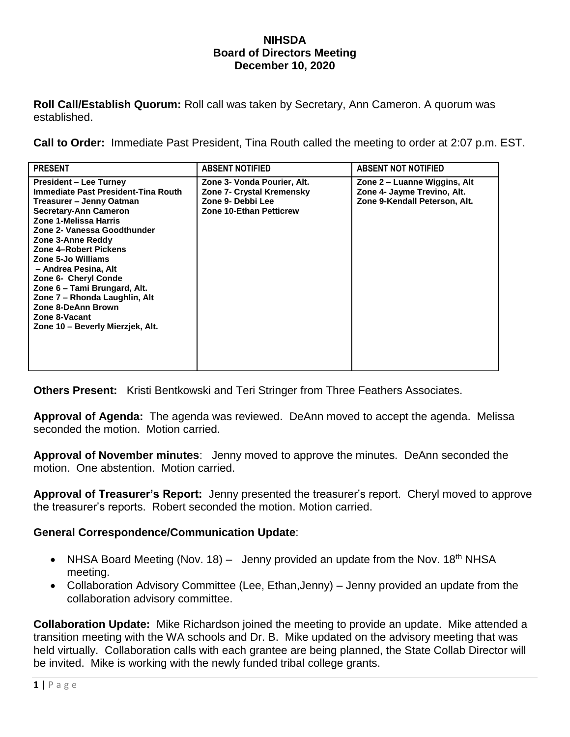## **NIHSDA Board of Directors Meeting December 10, 2020**

**Roll Call/Establish Quorum:** Roll call was taken by Secretary, Ann Cameron. A quorum was established.

**Call to Order:** Immediate Past President, Tina Routh called the meeting to order at 2:07 p.m. EST.

| <b>PRESENT</b>                                                                                                                                                                                                                                                                                                                                                                                                                                           | <b>ABSENT NOTIFIED</b>                                                                                          | <b>ABSENT NOT NOTIFIED</b>                                                                   |
|----------------------------------------------------------------------------------------------------------------------------------------------------------------------------------------------------------------------------------------------------------------------------------------------------------------------------------------------------------------------------------------------------------------------------------------------------------|-----------------------------------------------------------------------------------------------------------------|----------------------------------------------------------------------------------------------|
| <b>President – Lee Turney</b><br>Immediate Past President-Tina Routh<br>Treasurer - Jenny Oatman<br><b>Secretary-Ann Cameron</b><br>Zone 1-Melissa Harris<br>Zone 2- Vanessa Goodthunder<br>Zone 3-Anne Reddy<br>Zone 4-Robert Pickens<br>Zone 5-Jo Williams<br>- Andrea Pesina, Alt<br>Zone 6- Cheryl Conde<br>Zone 6 – Tami Brungard, Alt.<br>Zone 7 - Rhonda Laughlin, Alt<br>Zone 8-DeAnn Brown<br>Zone 8-Vacant<br>Zone 10 - Beverly Mierzjek, Alt. | Zone 3- Vonda Pourier, Alt.<br>Zone 7- Crystal Kremensky<br>Zone 9- Debbi Lee<br><b>Zone 10-Ethan Petticrew</b> | Zone 2 – Luanne Wiggins, Alt<br>Zone 4- Jayme Trevino, Alt.<br>Zone 9-Kendall Peterson, Alt. |

**Others Present:** Kristi Bentkowski and Teri Stringer from Three Feathers Associates.

**Approval of Agenda:** The agenda was reviewed. DeAnn moved to accept the agenda. Melissa seconded the motion. Motion carried.

**Approval of November minutes**: Jenny moved to approve the minutes. DeAnn seconded the motion. One abstention. Motion carried.

**Approval of Treasurer's Report:** Jenny presented the treasurer's report. Cheryl moved to approve the treasurer's reports. Robert seconded the motion. Motion carried.

## **General Correspondence/Communication Update**:

- NHSA Board Meeting (Nov. 18) Jenny provided an update from the Nov. 18<sup>th</sup> NHSA meeting.
- Collaboration Advisory Committee (Lee, Ethan, Jenny) Jenny provided an update from the collaboration advisory committee.

**Collaboration Update:** Mike Richardson joined the meeting to provide an update. Mike attended a transition meeting with the WA schools and Dr. B. Mike updated on the advisory meeting that was held virtually. Collaboration calls with each grantee are being planned, the State Collab Director will be invited. Mike is working with the newly funded tribal college grants.